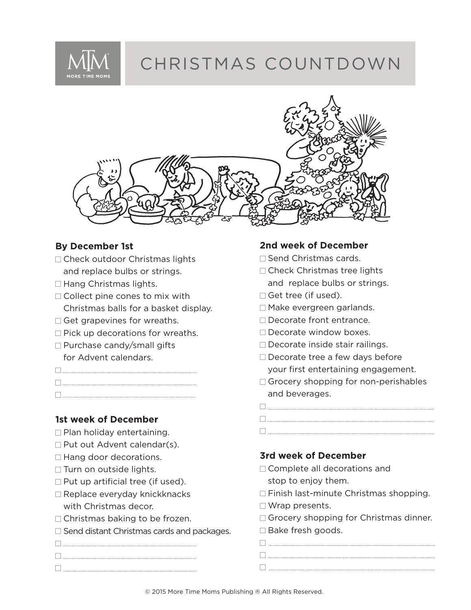

# CHRISTMAS COUNTDOWN



#### **By December 1st**

- □ Check outdoor Christmas lights and replace bulbs or strings.
- $\Box$  Hang Christmas lights.
- $\Box$  Collect pine cones to mix with Christmas balls for a basket display.
- Get grapevines for wreaths.
- $\Box$  Pick up decorations for wreaths.
- □ Purchase candy/small gifts for Advent calendars.
- $\begin{picture}(100,100) \put(0,0){\vector(1,0){100}} \put(10,0){\vector(1,0){100}} \put(10,0){\vector(1,0){100}} \put(10,0){\vector(1,0){100}} \put(10,0){\vector(1,0){100}} \put(10,0){\vector(1,0){100}} \put(10,0){\vector(1,0){100}} \put(10,0){\vector(1,0){100}} \put(10,0){\vector(1,0){100}} \put(10,0){\vector(1,0){100}} \put(10,0){\vector(1,0){100$
- $\Box$

#### **1st week of December**

- $\Box$  Plan holiday entertaining.
- $\Box$  Put out Advent calendar(s).
- □ Hang door decorations.
- $\Box$  Turn on outside lights.
- $\Box$  Put up artificial tree (if used).
- □ Replace everyday knickknacks with Christmas decor.
- $\Box$  Christmas baking to be frozen.
- $\Box$  Send distant Christmas cards and packages.
- 

#### **2nd week of December**

- □ Send Christmas cards.
- □ Check Christmas tree lights and replace bulbs or strings.
- □ Get tree (if used).
- Make evergreen garlands.
- □ Decorate front entrance.
- Decorate window boxes.
- $\square$  Decorate inside stair railings.
- $\square$  Decorate tree a few days before your first entertaining engagement.
- $\Box$  Grocery shopping for non-perishables and beverages.

### **3rd week of December**

- □ Complete all decorations and
- stop to enjoy them.  $\Box$  Finish last-minute Christmas shopping.
- □ Wrap presents.
- □ Grocery shopping for Christmas dinner.
- □ Bake fresh goods.